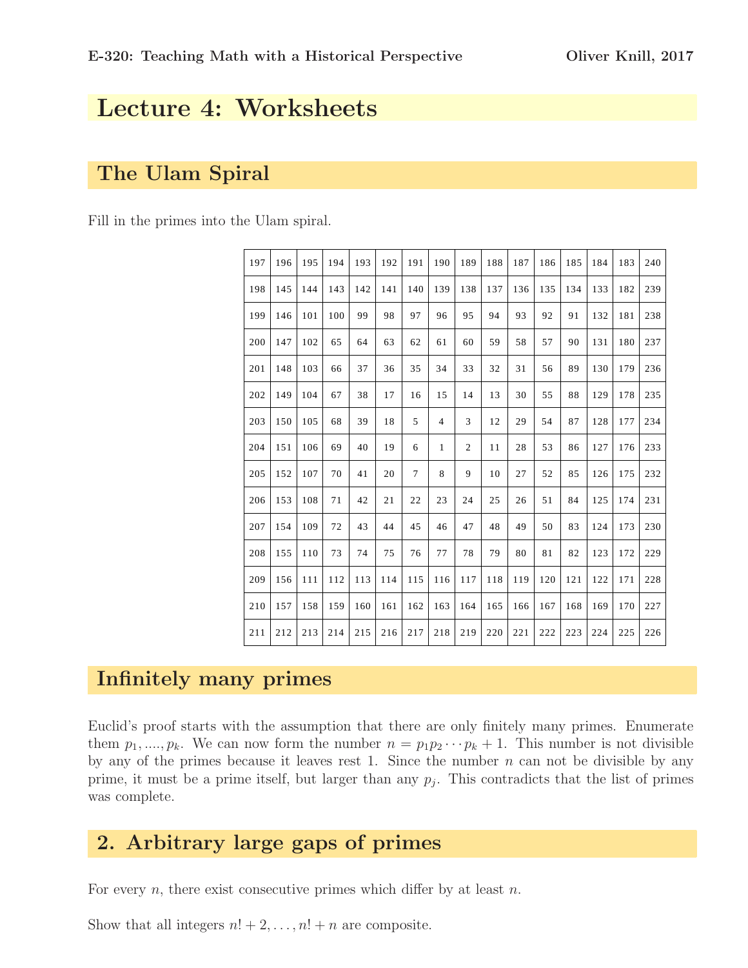# Lecture 4: Worksheets

## The Ulam Spiral

Fill in the primes into the Ulam spiral.

| 197 | 196 | 195 | 194 | 193 | 192 | 191            | 190            | 189            | 188 | 187 | 186 | 185 | 184 | 183 | 240 |
|-----|-----|-----|-----|-----|-----|----------------|----------------|----------------|-----|-----|-----|-----|-----|-----|-----|
| 198 | 145 | 144 | 143 | 142 | 141 | 140            | 139            | 138            | 137 | 136 | 135 | 134 | 133 | 182 | 239 |
| 199 | 146 | 101 | 100 | 99  | 98  | 97             | 96             | 95             | 94  | 93  | 92  | 91  | 132 | 181 | 238 |
| 200 | 147 | 102 | 65  | 64  | 63  | 62             | 61             | 60             | 59  | 58  | 57  | 90  | 131 | 180 | 237 |
| 201 | 148 | 103 | 66  | 37  | 36  | 35             | 34             | 33             | 32  | 31  | 56  | 89  | 130 | 179 | 236 |
| 202 | 149 | 104 | 67  | 38  | 17  | 16             | 15             | 14             | 13  | 30  | 55  | 88  | 129 | 178 | 235 |
| 203 | 150 | 105 | 68  | 39  | 18  | 5              | $\overline{4}$ | 3              | 12  | 29  | 54  | 87  | 128 | 177 | 234 |
| 204 | 151 | 106 | 69  | 40  | 19  | 6              | $\mathbf{1}$   | $\overline{c}$ | 11  | 28  | 53  | 86  | 127 | 176 | 233 |
| 205 | 152 | 107 | 70  | 41  | 20  | $\overline{7}$ | 8              | 9              | 10  | 27  | 52  | 85  | 126 | 175 | 232 |
| 206 | 153 | 108 | 71  | 42  | 21  | 22             | 23             | 24             | 25  | 26  | 51  | 84  | 125 | 174 | 231 |
| 207 | 154 | 109 | 72  | 43  | 44  | 45             | 46             | 47             | 48  | 49  | 50  | 83  | 124 | 173 | 230 |
| 208 | 155 | 110 | 73  | 74  | 75  | 76             | 77             | 78             | 79  | 80  | 81  | 82  | 123 | 172 | 229 |
| 209 | 156 | 111 | 112 | 113 | 114 | 115            | 116            | 117            | 118 | 119 | 120 | 121 | 122 | 171 | 228 |
| 210 | 157 | 158 | 159 | 160 | 161 | 162            | 163            | 164            | 165 | 166 | 167 | 168 | 169 | 170 | 227 |
| 211 | 212 | 213 | 214 | 215 | 216 | 217            | 218            | 219            | 220 | 221 | 222 | 223 | 224 | 225 | 226 |

#### Infinitely many primes

Euclid's proof starts with the assumption that there are only finitely many primes. Enumerate them  $p_1, ..., p_k$ . We can now form the number  $n = p_1p_2 \cdots p_k + 1$ . This number is not divisible by any of the primes because it leaves rest 1. Since the number  $n$  can not be divisible by any prime, it must be a prime itself, but larger than any  $p_j$ . This contradicts that the list of primes was complete.

### 2. Arbitrary large gaps of primes

For every  $n$ , there exist consecutive primes which differ by at least  $n$ .

Show that all integers  $n! + 2, \ldots, n! + n$  are composite.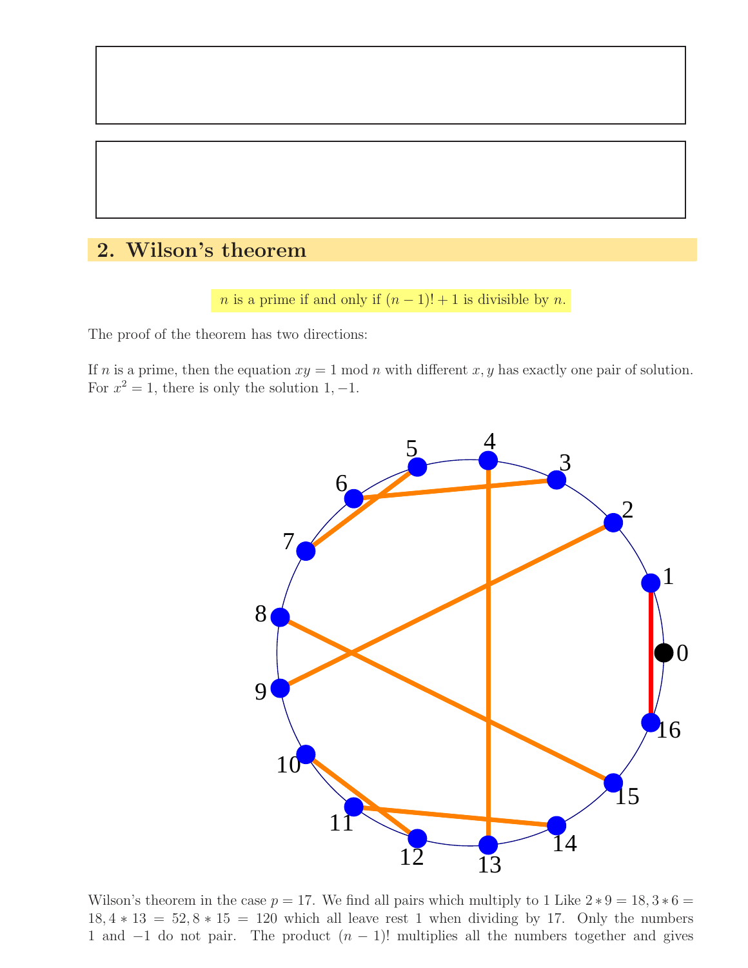# 2. Wilson's theorem

*n* is a prime if and only if  $(n - 1)! + 1$  is divisible by *n*.

The proof of the theorem has two directions:

If n is a prime, then the equation  $xy = 1 \text{ mod } n$  with different x, y has exactly one pair of solution. For  $x^2 = 1$ , there is only the solution 1, -1.



Wilson's theorem in the case  $p = 17$ . We find all pairs which multiply to 1 Like  $2 * 9 = 18, 3 * 6 =$  $18, 4 * 13 = 52, 8 * 15 = 120$  which all leave rest 1 when dividing by 17. Only the numbers 1 and  $-1$  do not pair. The product  $(n - 1)!$  multiplies all the numbers together and gives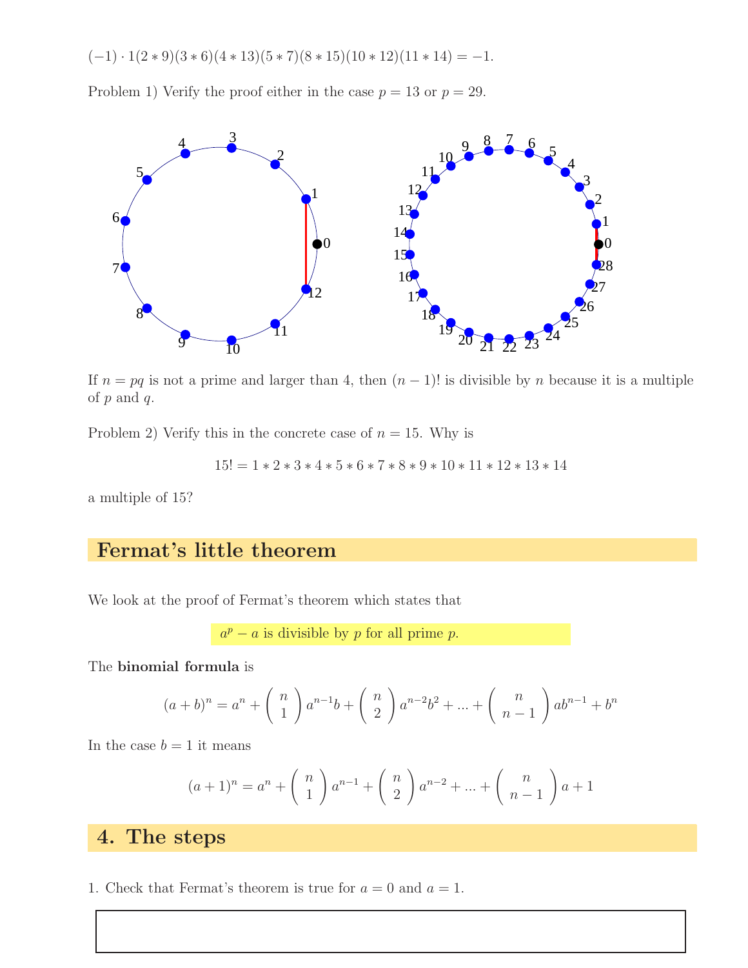$$
(-1) \cdot 1(2*9)(3*6)(4*13)(5*7)(8*15)(10*12)(11*14) = -1.
$$

Problem 1) Verify the proof either in the case  $p = 13$  or  $p = 29$ .



If  $n = pq$  is not a prime and larger than 4, then  $(n - 1)!$  is divisible by n because it is a multiple of  $p$  and  $q$ .

Problem 2) Verify this in the concrete case of  $n = 15$ . Why is

$$
15! = 1 * 2 * 3 * 4 * 5 * 6 * 7 * 8 * 9 * 10 * 11 * 12 * 13 * 14
$$

a multiple of 15?

## Fermat's little theorem

We look at the proof of Fermat's theorem which states that

 $a^p - a$  is divisible by p for all prime p.

The binomial formula is

$$
(a+b)^n = a^n + \binom{n}{1} a^{n-1}b + \binom{n}{2} a^{n-2}b^2 + \dots + \binom{n}{n-1} ab^{n-1} + b^n
$$

In the case  $b = 1$  it means

$$
(a+1)^n = a^n + \binom{n}{1} a^{n-1} + \binom{n}{2} a^{n-2} + \dots + \binom{n}{n-1} a + 1
$$

#### 4. The steps

1. Check that Fermat's theorem is true for  $a = 0$  and  $a = 1$ .